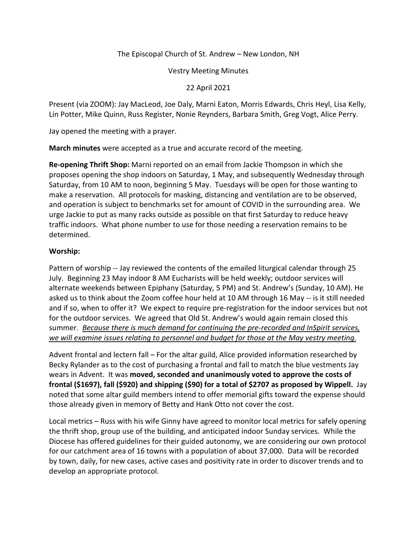## The Episcopal Church of St. Andrew – New London, NH

Vestry Meeting Minutes

22 April 2021

Present (via ZOOM): Jay MacLeod, Joe Daly, Marni Eaton, Morris Edwards, Chris Heyl, Lisa Kelly, Lin Potter, Mike Quinn, Russ Register, Nonie Reynders, Barbara Smith, Greg Vogt, Alice Perry.

Jay opened the meeting with a prayer.

**March minutes** were accepted as a true and accurate record of the meeting.

**Re-opening Thrift Shop:** Marni reported on an email from Jackie Thompson in which she proposes opening the shop indoors on Saturday, 1 May, and subsequently Wednesday through Saturday, from 10 AM to noon, beginning 5 May. Tuesdays will be open for those wanting to make a reservation. All protocols for masking, distancing and ventilation are to be observed, and operation is subject to benchmarks set for amount of COVID in the surrounding area. We urge Jackie to put as many racks outside as possible on that first Saturday to reduce heavy traffic indoors. What phone number to use for those needing a reservation remains to be determined.

## **Worship:**

Pattern of worship -- Jay reviewed the contents of the emailed liturgical calendar through 25 July. Beginning 23 May indoor 8 AM Eucharists will be held weekly; outdoor services will alternate weekends between Epiphany (Saturday, 5 PM) and St. Andrew's (Sunday, 10 AM). He asked us to think about the Zoom coffee hour held at 10 AM through 16 May -- is it still needed and if so, when to offer it? We expect to require pre-registration for the indoor services but not for the outdoor services. We agreed that Old St. Andrew's would again remain closed this summer. *Because there is much demand for continuing the pre-recorded and InSpirit services, we will examine issues relating to personnel and budget for those at the May vestry meeting.* 

Advent frontal and lectern fall – For the altar guild, Alice provided information researched by Becky Rylander as to the cost of purchasing a frontal and fall to match the blue vestments Jay wears in Advent. It was **moved, seconded and unanimously voted to approve the costs of frontal (\$1697), fall (\$920) and shipping (\$90) for a total of \$2707 as proposed by Wippell.** Jay noted that some altar guild members intend to offer memorial gifts toward the expense should those already given in memory of Betty and Hank Otto not cover the cost.

Local metrics – Russ with his wife Ginny have agreed to monitor local metrics for safely opening the thrift shop, group use of the building, and anticipated indoor Sunday services. While the Diocese has offered guidelines for their guided autonomy, we are considering our own protocol for our catchment area of 16 towns with a population of about 37,000. Data will be recorded by town, daily, for new cases, active cases and positivity rate in order to discover trends and to develop an appropriate protocol.